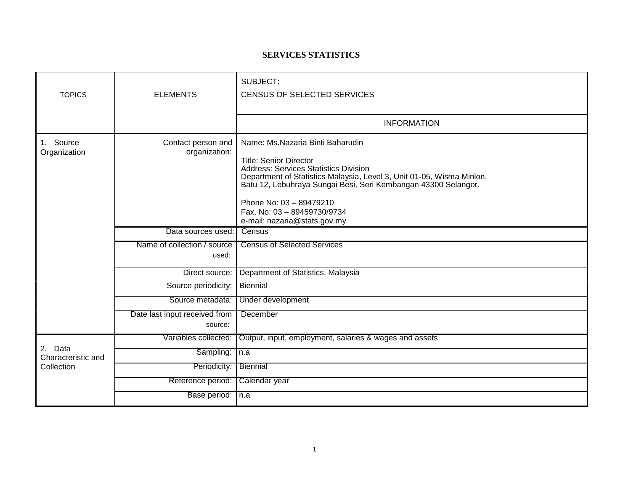## **SERVICES STATISTICS**

| <b>TOPICS</b>                                                                                                                  | <b>ELEMENTS</b>                          | SUBJECT:<br>CENSUS OF SELECTED SERVICES                                                                                                                                                                                                                                                                                                                |  |
|--------------------------------------------------------------------------------------------------------------------------------|------------------------------------------|--------------------------------------------------------------------------------------------------------------------------------------------------------------------------------------------------------------------------------------------------------------------------------------------------------------------------------------------------------|--|
|                                                                                                                                |                                          | <b>INFORMATION</b>                                                                                                                                                                                                                                                                                                                                     |  |
| 1. Source<br>Contact person and<br>Organization<br>organization:<br>Data sources used:<br>Name of collection / source<br>used: |                                          | Name: Ms.Nazaria Binti Baharudin<br><b>Title: Senior Director</b><br><b>Address: Services Statistics Division</b><br>Department of Statistics Malaysia, Level 3, Unit 01-05, Wisma Minlon,<br>Batu 12, Lebuhraya Sungai Besi, Seri Kembangan 43300 Selangor.<br>Phone No: 03 - 89479210<br>Fax. No: 03 - 89459730/9734<br>e-mail: nazaria@stats.gov.my |  |
|                                                                                                                                |                                          | Census                                                                                                                                                                                                                                                                                                                                                 |  |
|                                                                                                                                |                                          | <b>Census of Selected Services</b>                                                                                                                                                                                                                                                                                                                     |  |
|                                                                                                                                | Direct source:                           | Department of Statistics, Malaysia                                                                                                                                                                                                                                                                                                                     |  |
|                                                                                                                                | Source periodicity:                      | Biennial                                                                                                                                                                                                                                                                                                                                               |  |
|                                                                                                                                | Source metadata:                         | Under development                                                                                                                                                                                                                                                                                                                                      |  |
|                                                                                                                                | Date last input received from<br>source: | December                                                                                                                                                                                                                                                                                                                                               |  |
| 2. Data<br>Characteristic and<br>Collection                                                                                    | Variables collected:                     | Output, input, employment, salaries & wages and assets                                                                                                                                                                                                                                                                                                 |  |
|                                                                                                                                | Sampling:                                | $\sqrt{n}$ .a                                                                                                                                                                                                                                                                                                                                          |  |
|                                                                                                                                | Periodicity:                             | Biennial                                                                                                                                                                                                                                                                                                                                               |  |
|                                                                                                                                | Reference period:                        | Calendar year                                                                                                                                                                                                                                                                                                                                          |  |
|                                                                                                                                | Base period: In.a                        |                                                                                                                                                                                                                                                                                                                                                        |  |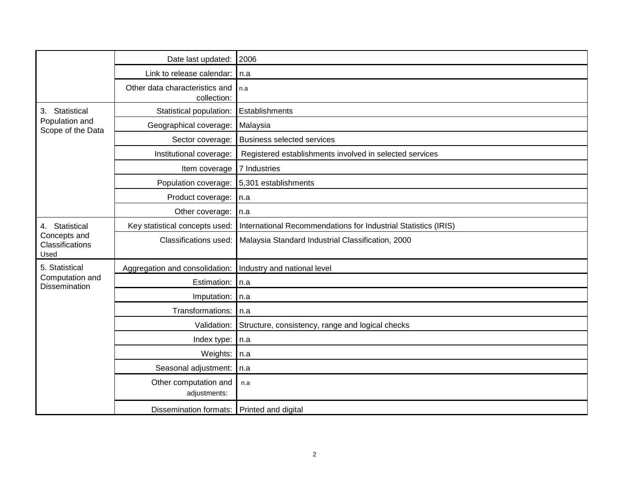|                                                           | Date last updated:                            | 2006                                                           |  |
|-----------------------------------------------------------|-----------------------------------------------|----------------------------------------------------------------|--|
|                                                           | Link to release calendar:                     | n.a                                                            |  |
|                                                           | Other data characteristics and<br>collection: | n.a                                                            |  |
| Statistical<br>3.<br>Population and<br>Scope of the Data  | Statistical population:                       | Establishments                                                 |  |
|                                                           | Geographical coverage:                        | Malaysia                                                       |  |
|                                                           | Sector coverage:                              | <b>Business selected services</b>                              |  |
|                                                           | Institutional coverage:                       | Registered establishments involved in selected services        |  |
|                                                           | Item coverage                                 | 7 Industries                                                   |  |
|                                                           | Population coverage:                          | 5,301 establishments                                           |  |
|                                                           | Product coverage:                             | n.a                                                            |  |
|                                                           | Other coverage:                               | n.a                                                            |  |
| 4. Statistical<br>Concepts and<br>Classifications<br>Used | Key statistical concepts used:                | International Recommendations for Industrial Statistics (IRIS) |  |
|                                                           | Classifications used:                         | Malaysia Standard Industrial Classification, 2000              |  |
| 5. Statistical                                            | Aggregation and consolidation:                | Industry and national level                                    |  |
| Computation and<br><b>Dissemination</b>                   | Estimation:                                   | n.a                                                            |  |
|                                                           | Imputation:                                   | $\ln a$                                                        |  |
|                                                           | Transformations:                              | l n.a                                                          |  |
|                                                           | Validation:                                   | Structure, consistency, range and logical checks               |  |
|                                                           | Index type:                                   | n.a                                                            |  |
|                                                           | Weights:                                      | In.a                                                           |  |
|                                                           | Seasonal adjustment:                          | n.a                                                            |  |
|                                                           | Other computation and<br>adjustments:         | n.a                                                            |  |
|                                                           | Dissemination formats: Printed and digital    |                                                                |  |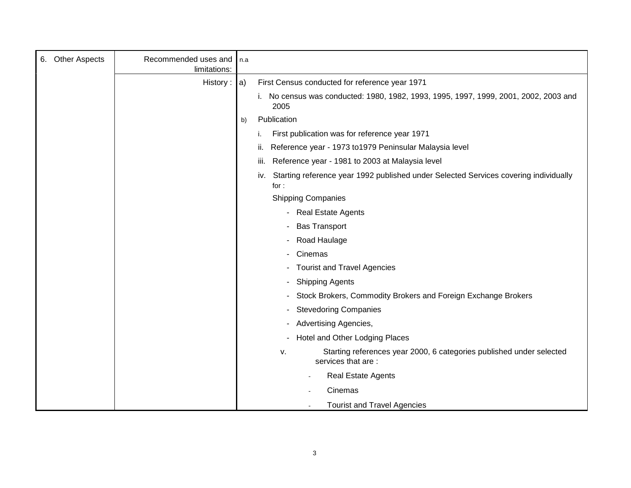| <b>Other Aspects</b><br>6. | Recommended uses and<br>limitations: | In.a                                                                                                 |  |
|----------------------------|--------------------------------------|------------------------------------------------------------------------------------------------------|--|
|                            | History : $ a\rangle$                | First Census conducted for reference year 1971                                                       |  |
|                            |                                      | i. No census was conducted: 1980, 1982, 1993, 1995, 1997, 1999, 2001, 2002, 2003 and<br>2005         |  |
|                            |                                      | Publication<br>b)                                                                                    |  |
|                            |                                      | First publication was for reference year 1971                                                        |  |
|                            |                                      | Reference year - 1973 to 1979 Peninsular Malaysia level<br>н.                                        |  |
|                            |                                      | Reference year - 1981 to 2003 at Malaysia level<br>III.                                              |  |
|                            |                                      | Starting reference year 1992 published under Selected Services covering individually<br>iv.<br>for : |  |
|                            |                                      | <b>Shipping Companies</b>                                                                            |  |
|                            |                                      | - Real Estate Agents                                                                                 |  |
|                            |                                      | <b>Bas Transport</b>                                                                                 |  |
|                            |                                      | Road Haulage                                                                                         |  |
|                            |                                      | Cinemas                                                                                              |  |
|                            |                                      | <b>Tourist and Travel Agencies</b>                                                                   |  |
|                            |                                      | <b>Shipping Agents</b>                                                                               |  |
|                            |                                      | Stock Brokers, Commodity Brokers and Foreign Exchange Brokers                                        |  |
|                            |                                      | <b>Stevedoring Companies</b>                                                                         |  |
|                            |                                      | <b>Advertising Agencies,</b>                                                                         |  |
|                            |                                      | Hotel and Other Lodging Places                                                                       |  |
|                            |                                      | Starting references year 2000, 6 categories published under selected<br>v.<br>services that are:     |  |
|                            |                                      | Real Estate Agents                                                                                   |  |
|                            |                                      | Cinemas                                                                                              |  |
|                            |                                      | <b>Tourist and Travel Agencies</b>                                                                   |  |